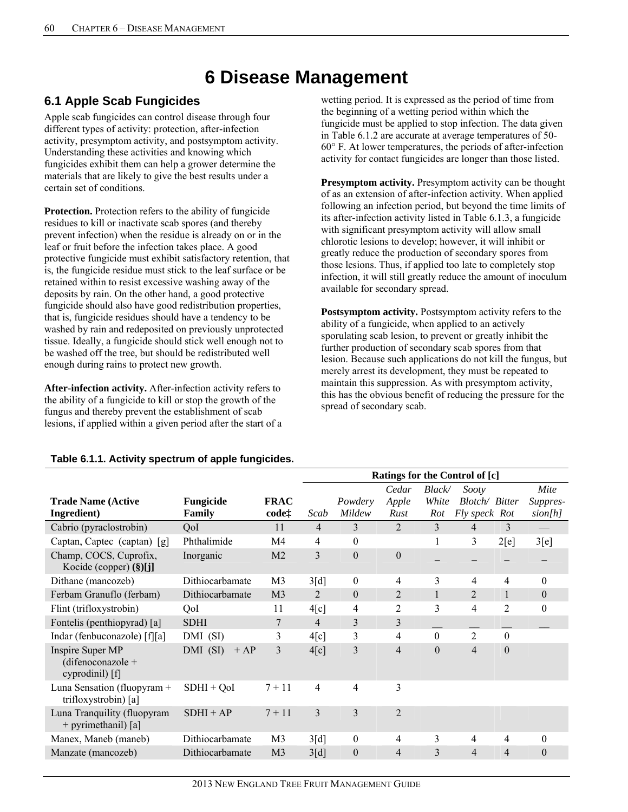# **6 Disease Management**

# **6.1 Apple Scab Fungicides**

Apple scab fungicides can control disease through four different types of activity: protection, after-infection activity, presymptom activity, and postsymptom activity. Understanding these activities and knowing which fungicides exhibit them can help a grower determine the materials that are likely to give the best results under a certain set of conditions.

**Protection.** Protection refers to the ability of fungicide residues to kill or inactivate scab spores (and thereby prevent infection) when the residue is already on or in the leaf or fruit before the infection takes place. A good protective fungicide must exhibit satisfactory retention, that is, the fungicide residue must stick to the leaf surface or be retained within to resist excessive washing away of the deposits by rain. On the other hand, a good protective fungicide should also have good redistribution properties, that is, fungicide residues should have a tendency to be washed by rain and redeposited on previously unprotected tissue. Ideally, a fungicide should stick well enough not to be washed off the tree, but should be redistributed well enough during rains to protect new growth.

**After-infection activity.** After-infection activity refers to the ability of a fungicide to kill or stop the growth of the fungus and thereby prevent the establishment of scab lesions, if applied within a given period after the start of a wetting period. It is expressed as the period of time from the beginning of a wetting period within which the fungicide must be applied to stop infection. The data given in Table 6.1.2 are accurate at average temperatures of 50- 60° F. At lower temperatures, the periods of after-infection activity for contact fungicides are longer than those listed.

**Presymptom activity.** Presymptom activity can be thought of as an extension of after-infection activity. When applied following an infection period, but beyond the time limits of its after-infection activity listed in Table 6.1.3, a fungicide with significant presymptom activity will allow small chlorotic lesions to develop; however, it will inhibit or greatly reduce the production of secondary spores from those lesions. Thus, if applied too late to completely stop infection, it will still greatly reduce the amount of inoculum available for secondary spread.

**Postsymptom activity.** Postsymptom activity refers to the ability of a fungicide, when applied to an actively sporulating scab lesion, to prevent or greatly inhibit the further production of secondary scab spores from that lesion. Because such applications do not kill the fungus, but merely arrest its development, they must be repeated to maintain this suppression. As with presymptom activity, this has the obvious benefit of reducing the pressure for the spread of secondary scab.

|                                                          |                      |                                  | Ratings for the Control of [c] |                   |                        |                              |                                          |                  |                             |
|----------------------------------------------------------|----------------------|----------------------------------|--------------------------------|-------------------|------------------------|------------------------------|------------------------------------------|------------------|-----------------------------|
| <b>Trade Name (Active</b><br>Ingredient)                 | Fungicide<br>Family  | <b>FRAC</b><br>code <sup>+</sup> | Scab                           | Powdery<br>Mildew | Cedar<br>Apple<br>Rust | <b>Black</b><br>White<br>Rot | Sooty<br>Blotch/ Bitter<br>Fly speck Rot |                  | Mite<br>Suppres-<br>sion[h] |
| Cabrio (pyraclostrobin)                                  | QoI                  | 11                               | $\overline{4}$                 | 3                 | $\overline{2}$         | 3                            | 4                                        | 3                |                             |
| Captan, Captec (captan) [g]                              | Phthalimide          | M4                               | 4                              | $\mathbf{0}$      |                        |                              | 3                                        | 2[e]             | 3[e]                        |
| Champ, COCS, Cuprofix,<br>Kocide (copper) (§)[j]         | Inorganic            | M <sub>2</sub>                   | 3                              | $\overline{0}$    | $\boldsymbol{0}$       |                              |                                          |                  |                             |
| Dithane (mancozeb)                                       | Dithiocarbamate      | M <sub>3</sub>                   | 3[d]                           | $\mathbf{0}$      | 4                      | 3                            | 4                                        | 4                | $\Omega$                    |
| Ferbam Granuflo (ferbam)                                 | Dithiocarbamate      | M <sub>3</sub>                   | 2                              | $\boldsymbol{0}$  | $\overline{2}$         |                              | $\overline{2}$                           |                  | $\boldsymbol{0}$            |
| Flint (trifloxystrobin)                                  | QoI                  | 11                               | 4[c]                           | $\overline{4}$    | 2                      | 3                            | $\overline{4}$                           | $\overline{2}$   | $\theta$                    |
| Fontelis (penthiopyrad) [a]                              | <b>SDHI</b>          | 7                                | $\overline{4}$                 | 3                 | 3                      |                              |                                          |                  |                             |
| Indar (fenbuconazole) [f][a]                             | DMI (SI)             | 3                                | 4[c]                           | 3                 | 4                      | $\theta$                     | $\overline{2}$                           | $\boldsymbol{0}$ |                             |
| Inspire Super MP<br>(difenoconazole +<br>cyprodinil) [f] | $DMI$ (SI)<br>$+ AP$ | $\overline{3}$                   | 4[c]                           | 3                 | 4                      | $\theta$                     | $\overline{4}$                           | $\theta$         |                             |
| Luna Sensation (fluopyram $+$<br>trifloxystrobin) [a]    | $SDHI + QoI$         | $7 + 11$                         | 4                              | 4                 | 3                      |                              |                                          |                  |                             |
| Luna Tranquility (fluopyram<br>+ pyrimethanil) [a]       | $SDHI + AP$          | $7 + 11$                         | 3                              | 3                 | $\overline{2}$         |                              |                                          |                  |                             |
| Manex, Maneb (maneb)                                     | Dithiocarbamate      | M <sub>3</sub>                   | 3[d]                           | $\boldsymbol{0}$  | 4                      | 3                            | 4                                        | 4                | $\theta$                    |
| Manzate (mancozeb)                                       | Dithiocarbamate      | M <sub>3</sub>                   | 3[d]                           | $\boldsymbol{0}$  | 4                      | 3                            | 4                                        | $\overline{4}$   | $\overline{0}$              |

## **Table 6.1.1. Activity spectrum of apple fungicides.**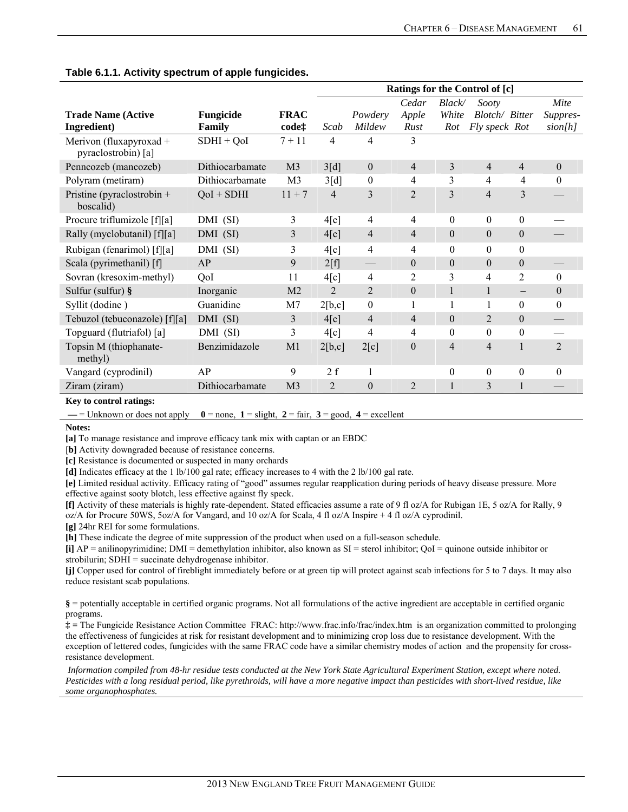|                                                                          |                 |                   | Ratings for the Control of [c] |                  |                  |                  |                  |                   |                |  |
|--------------------------------------------------------------------------|-----------------|-------------------|--------------------------------|------------------|------------------|------------------|------------------|-------------------|----------------|--|
|                                                                          |                 |                   |                                |                  | Cedar            | Black/           | Sooty            |                   | Mite           |  |
| <b>Trade Name (Active</b>                                                | Fungicide       | <b>FRAC</b>       |                                | Powdery          | Apple            | White            | Blotch/ Bitter   |                   | Suppres-       |  |
| Ingredient)                                                              | Family          | code <sup>+</sup> | Scab                           | Mildew           | Rust             | Rot              | Fly speck Rot    |                   | sion[h]        |  |
| Merivon (fluxapyroxad +<br>pyraclostrobin) [a]                           | $SDHI + QoI$    | $7 + 11$          | $\overline{4}$                 | 4                | 3                |                  |                  |                   |                |  |
| Penncozeb (mancozeb)                                                     | Dithiocarbamate | M <sub>3</sub>    | 3[d]                           | $\boldsymbol{0}$ | 4                | 3                | 4                | $\overline{4}$    | $\mathbf{0}$   |  |
| Polyram (metiram)                                                        | Dithiocarbamate | M <sub>3</sub>    | 3[d]                           | $\boldsymbol{0}$ | 4                | 3                | 4                | $\overline{4}$    | $\mathbf{0}$   |  |
| Pristine (pyraclostrobin $+$<br>boscalid)                                | $QoI + SDHI$    | $11 + 7$          | $\overline{4}$                 | 3                | $\overline{2}$   | 3                | 4                | 3                 |                |  |
| Procure triflumizole [f][a]                                              | DMI (SI)        | 3                 | 4[c]                           | 4                | 4                | $\theta$         | $\theta$         | $\theta$          |                |  |
| Rally (myclobutanil) [f][a]                                              | DMI (SI)        | 3                 | 4[c]                           | 4                | $\overline{4}$   | $\mathbf{0}$     | $\overline{0}$   | $\boldsymbol{0}$  |                |  |
| Rubigan (fenarimol) [f][a]                                               | DMI (SI)        | 3                 | 4[c]                           | 4                | 4                | $\boldsymbol{0}$ | $\theta$         | $\boldsymbol{0}$  |                |  |
| Scala (pyrimethanil) [f]                                                 | AP              | 9                 | 2[f]                           |                  | $\theta$         | $\boldsymbol{0}$ | $\boldsymbol{0}$ | $\boldsymbol{0}$  |                |  |
| Sovran (kresoxim-methyl)                                                 | QoI             | 11                | 4[c]                           | 4                | $\overline{2}$   | 3                | 4                | 2                 | $\theta$       |  |
| Sulfur (sulfur) §                                                        | Inorganic       | M <sub>2</sub>    | $\overline{2}$                 | $\overline{2}$   | $\boldsymbol{0}$ | 1                | 1                | $\qquad \qquad -$ | $\mathbf{0}$   |  |
| Syllit (dodine)                                                          | Guanidine       | M7                | 2[b,c]                         | $\mathbf{0}$     | 1                | 1                | 1                | $\theta$          | $\theta$       |  |
| Tebuzol (tebuconazole) [f][a]                                            | DMI (SI)        | 3                 | 4[c]                           | 4                | $\overline{4}$   | $\boldsymbol{0}$ | $\overline{2}$   | $\boldsymbol{0}$  |                |  |
| Topguard (flutriafol) [a]                                                | DMI (SI)        | 3                 | 4[c]                           | 4                | 4                | $\theta$         | $\theta$         | $\theta$          |                |  |
| Topsin M (thiophanate-<br>methyl)                                        | Benzimidazole   | M <sub>1</sub>    | 2[b,c]                         | 2[c]             | $\theta$         | $\overline{4}$   | 4                |                   | $\overline{2}$ |  |
| Vangard (cyprodinil)                                                     | AP              | 9                 | 2f                             | 1                |                  | $\boldsymbol{0}$ | $\boldsymbol{0}$ | $\boldsymbol{0}$  | $\mathbf{0}$   |  |
| Ziram (ziram)                                                            | Dithiocarbamate | M <sub>3</sub>    | 2                              | $\boldsymbol{0}$ | $\overline{c}$   |                  | 3                |                   |                |  |
| $\mathbf{I}^T$ and $\mathbf{A}$ are according to the set of $\mathbf{I}$ |                 |                   |                                |                  |                  |                  |                  |                   |                |  |

## **Table 6.1.1. Activity spectrum of apple fungicides.**

#### **Key to control ratings:**

 $\blacksquare$  = Unknown or does not apply  $0 =$  none,  $1 =$  slight,  $2 =$  fair,  $3 =$  good,  $4 =$  excellent

#### **Notes:**

**[a]** To manage resistance and improve efficacy tank mix with captan or an EBDC

[b] Activity downgraded because of resistance concerns.

**[c]** Resistance is documented or suspected in many orchards

**[d]** Indicates efficacy at the 1 lb/100 gal rate; efficacy increases to 4 with the 2 lb/100 gal rate.

**[e]** Limited residual activity. Efficacy rating of "good" assumes regular reapplication during periods of heavy disease pressure. More effective against sooty blotch, less effective against fly speck.

**[f]** Activity of these materials is highly rate-dependent. Stated efficacies assume a rate of 9 fl oz/A for Rubigan 1E, 5 oz/A for Rally, 9 oz/A for Procure 50WS, 5oz/A for Vangard, and 10 oz/A for Scala, 4 fl oz/A Inspire + 4 fl oz/A cyprodinil.

**[g]** 24hr REI for some formulations.

**[h]** These indicate the degree of mite suppression of the product when used on a full-season schedule.

**[i]** AP = anilinopyrimidine; DMI = demethylation inhibitor, also known as SI = sterol inhibitor; QoI = quinone outside inhibitor or strobilurin; SDHI = succinate dehydrogenase inhibitor.

**[j]** Copper used for control of fireblight immediately before or at green tip will protect against scab infections for 5 to 7 days. It may also reduce resistant scab populations.

**§** = potentially acceptable in certified organic programs. Not all formulations of the active ingredient are acceptable in certified organic programs.

**‡ =** The Fungicide Resistance Action Committee FRAC: http://www.frac.info/frac/index.htm is an organization committed to prolonging the effectiveness of fungicides at risk for resistant development and to minimizing crop loss due to resistance development. With the exception of lettered codes, fungicides with the same FRAC code have a similar chemistry modes of action and the propensity for crossresistance development.

 *Information compiled from 48-hr residue tests conducted at the New York State Agricultural Experiment Station, except where noted. Pesticides with a long residual period, like pyrethroids, will have a more negative impact than pesticides with short-lived residue, like some organophosphates.*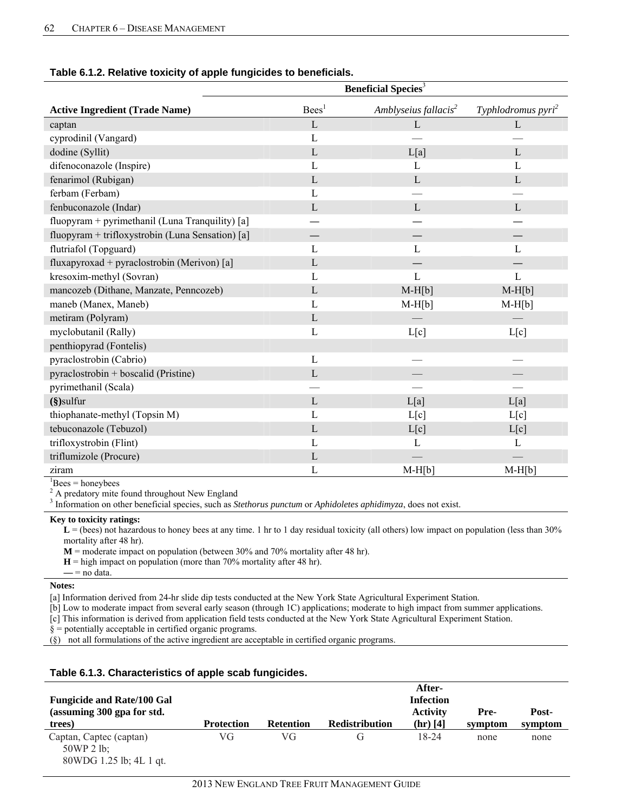| rable 6.1.2. Relative toxicity or apple fungicides to belieficials. |                                       |                                  |                                  |  |  |  |  |  |  |
|---------------------------------------------------------------------|---------------------------------------|----------------------------------|----------------------------------|--|--|--|--|--|--|
|                                                                     | <b>Beneficial Species<sup>3</sup></b> |                                  |                                  |  |  |  |  |  |  |
| <b>Active Ingredient (Trade Name)</b>                               | Bees <sup>1</sup>                     | Amblyseius fallacis <sup>2</sup> | Typhlodromus pyri <sup>2</sup>   |  |  |  |  |  |  |
| captan                                                              | L                                     | L                                | L                                |  |  |  |  |  |  |
| cyprodinil (Vangard)                                                | $\mathbf{L}$                          |                                  |                                  |  |  |  |  |  |  |
| dodine (Syllit)                                                     | L                                     | L[a]                             | L                                |  |  |  |  |  |  |
| difenoconazole (Inspire)                                            | $\mathbf{L}$                          | L                                | $\mathbf{L}$                     |  |  |  |  |  |  |
| fenarimol (Rubigan)                                                 | L                                     | L                                | L                                |  |  |  |  |  |  |
| ferbam (Ferbam)                                                     | $\mathbf{L}$                          |                                  |                                  |  |  |  |  |  |  |
| fenbuconazole (Indar)                                               | L                                     | $\mathbf{L}$                     | L                                |  |  |  |  |  |  |
| fluopyram + pyrimethanil (Luna Tranquility) [a]                     |                                       |                                  |                                  |  |  |  |  |  |  |
| fluopyram + trifloxystrobin (Luna Sensation) [a]                    |                                       |                                  |                                  |  |  |  |  |  |  |
| flutriafol (Topguard)                                               | L                                     | L                                | L                                |  |  |  |  |  |  |
| fluxapyroxad + pyraclostrobin (Merivon) [a]                         | L                                     |                                  |                                  |  |  |  |  |  |  |
| kresoxim-methyl (Sovran)                                            | L                                     | L                                | L                                |  |  |  |  |  |  |
| mancozeb (Dithane, Manzate, Penncozeb)                              | $\mathbf{L}$                          | $M-H[b]$                         | $M-H[b]$                         |  |  |  |  |  |  |
| maneb (Manex, Maneb)                                                | L                                     | $M-H[b]$                         | $M-H[b]$                         |  |  |  |  |  |  |
| metiram (Polyram)                                                   | $\mathbf{L}$                          |                                  |                                  |  |  |  |  |  |  |
| myclobutanil (Rally)                                                | $\mathbf{L}$                          | L[c]                             | L[c]                             |  |  |  |  |  |  |
| penthiopyrad (Fontelis)                                             |                                       |                                  |                                  |  |  |  |  |  |  |
| pyraclostrobin (Cabrio)                                             | L                                     |                                  | $\overbrace{\phantom{aaaaa}}^{}$ |  |  |  |  |  |  |
| pyraclostrobin + boscalid (Pristine)                                | $\mathbf{L}$                          |                                  |                                  |  |  |  |  |  |  |
| pyrimethanil (Scala)                                                |                                       |                                  |                                  |  |  |  |  |  |  |
| $(\S)$ sulfur                                                       | $\mathbf{L}$                          | L[a]                             | L[a]                             |  |  |  |  |  |  |
| thiophanate-methyl (Topsin M)                                       | L                                     | L[c]                             | L[c]                             |  |  |  |  |  |  |
| tebuconazole (Tebuzol)                                              | $\mathbf{L}$                          | L[c]                             | L[c]                             |  |  |  |  |  |  |
| trifloxystrobin (Flint)                                             | $\mathbf{L}$                          | L                                | $\mathbf{L}$                     |  |  |  |  |  |  |
| triflumizole (Procure)                                              | $\mathbf L$                           |                                  |                                  |  |  |  |  |  |  |
| ziram                                                               | $\mathbf{L}$                          | $M-H[b]$                         | $M-H[b]$                         |  |  |  |  |  |  |
| ln.<br><b>1. The Contract Table</b>                                 |                                       |                                  |                                  |  |  |  |  |  |  |

## **Table 6.1.2. Relative toxicity of apple fungicides to beneficials.**

 ${}^{1}$ Bees = honeybees

 $2$  A predatory mite found throughout New England

3 Information on other beneficial species, such as *Stethorus punctum* or *Aphidoletes aphidimyza*, does not exist.

## **Key to toxicity ratings:**

 $\mathbf{L} =$  (bees) not hazardous to honey bees at any time. 1 hr to 1 day residual toxicity (all others) low impact on population (less than 30% mortality after 48 hr).

 **M** = moderate impact on population (between 30% and 70% mortality after 48 hr).

- $H =$  high impact on population (more than 70% mortality after 48 hr).
- **—** = no data.

#### **Notes:**

[a] Information derived from 24-hr slide dip tests conducted at the New York State Agricultural Experiment Station.

[b] Low to moderate impact from several early season (through 1C) applications; moderate to high impact from summer applications.

[c] This information is derived from application field tests conducted at the New York State Agricultural Experiment Station.

§ = potentially acceptable in certified organic programs.

(§) not all formulations of the active ingredient are acceptable in certified organic programs.

#### **Table 6.1.3. Characteristics of apple scab fungicides.**

|                                         |            |                  |                       | After-           |         |         |
|-----------------------------------------|------------|------------------|-----------------------|------------------|---------|---------|
| <b>Fungicide and Rate/100 Gal</b>       |            |                  |                       | <b>Infection</b> |         |         |
| (assuming 300 gpa for std.              |            |                  |                       | <b>Activity</b>  | Pre-    | Post-   |
| trees)                                  | Protection | <b>Retention</b> | <b>Redistribution</b> | $(hr)$ [4]       | symptom | symptom |
| Captan, Captec (captan)<br>$50WP$ 2 lb; | VG         | VG               |                       | 18-24            | none    | none    |
| 80WDG 1.25 lb; 4L 1 gt.                 |            |                  |                       |                  |         |         |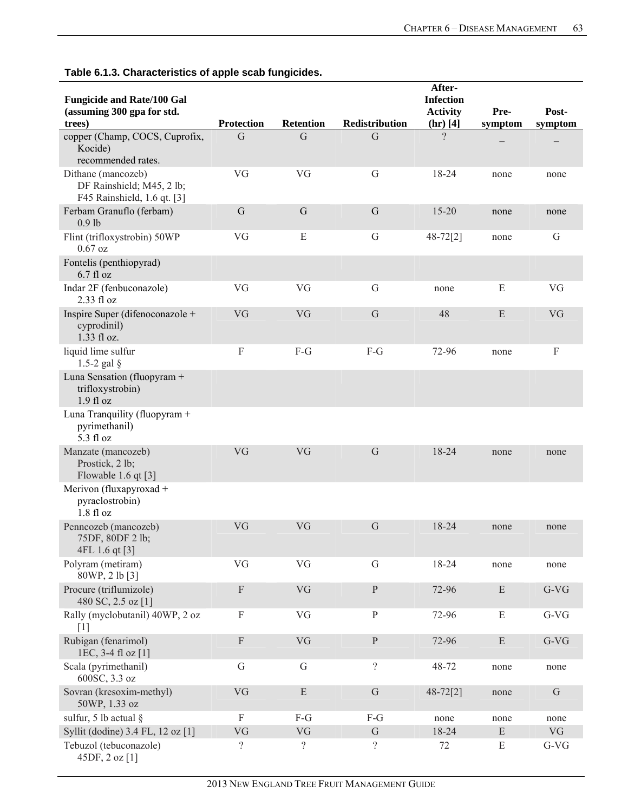| <b>Fungicide and Rate/100 Gal</b><br>(assuming 300 gpa for std.                |                          |                  |                          | After-<br><b>Infection</b><br><b>Activity</b> | Pre-      | Post-     |
|--------------------------------------------------------------------------------|--------------------------|------------------|--------------------------|-----------------------------------------------|-----------|-----------|
| trees)                                                                         | <b>Protection</b>        | <b>Retention</b> | <b>Redistribution</b>    | $(hr)$ [4]                                    | symptom   | symptom   |
| copper (Champ, COCS, Cuprofix,<br>Kocide)<br>recommended rates.                | G                        | G                | G                        | $\gamma$                                      |           |           |
| Dithane (mancozeb)<br>DF Rainshield; M45, 2 lb;<br>F45 Rainshield, 1.6 qt. [3] | VG                       | VG               | $\mathbf G$              | 18-24                                         | none      | none      |
| Ferbam Granuflo (ferbam)<br>$0.9$ lb                                           | $\mathbf G$              | $\mathsf G$      | $\mathbf G$              | $15 - 20$                                     | none      | none      |
| Flint (trifloxystrobin) 50WP<br>$0.67$ oz                                      | VG                       | E                | G                        | $48 - 72[2]$                                  | none      | G         |
| Fontelis (penthiopyrad)<br>$6.7$ fl oz                                         |                          |                  |                          |                                               |           |           |
| Indar 2F (fenbuconazole)<br>$2.33$ fl oz                                       | VG                       | VG               | G                        | none                                          | E         | VG        |
| Inspire Super (difenoconazole +<br>cyprodinil)<br>1.33 fl oz.                  | VG                       | VG               | G                        | 48                                            | ${\bf E}$ | VG        |
| liquid lime sulfur<br>1.5-2 gal $\S$                                           | $\rm F$                  | $F-G$            | $F-G$                    | 72-96                                         | none      | F         |
| Luna Sensation (fluopyram +<br>trifloxystrobin)<br>1.9f1oz                     |                          |                  |                          |                                               |           |           |
| Luna Tranquility (fluopyram +<br>pyrimethanil)<br>5.3 fl oz                    |                          |                  |                          |                                               |           |           |
| Manzate (mancozeb)<br>Prostick, 2 lb;<br>Flowable 1.6 qt [3]                   | VG                       | VG               | G                        | 18-24                                         | none      | none      |
| Merivon (fluxapyroxad +<br>pyraclostrobin)<br>1.8f1oz                          |                          |                  |                          |                                               |           |           |
| Penncozeb (mancozeb)<br>75DF, 80DF 2 lb;<br>4FL 1.6 qt [3]                     | VG                       | VG               | G                        | 18-24                                         | none      | none      |
| Polyram (metiram)<br>80WP, 2 lb [3]                                            | VG                       | VG               | G                        | 18-24                                         | none      | none      |
| Procure (triflumizole)<br>480 SC, 2.5 oz [1]                                   | $\mathbf F$              | <b>VG</b>        | ${\bf P}$                | 72-96                                         | ${\bf E}$ | $G-VG$    |
| Rally (myclobutanil) 40WP, 2 oz<br>$[1]$                                       | $\mathbf F$              | VG               | ${\bf P}$                | 72-96                                         | E         | $G-VG$    |
| Rubigan (fenarimol)<br>1EC, 3-4 fl oz [1]                                      | $\rm F$                  | <b>VG</b>        | ${\bf P}$                | 72-96                                         | ${\bf E}$ | $G-VG$    |
| Scala (pyrimethanil)<br>600SC, 3.3 oz                                          | G                        | G                | $\overline{?}$           | 48-72                                         | none      | none      |
| Sovran (kresoxim-methyl)<br>50WP, 1.33 oz                                      | VG                       | E                | $\mathbf G$              | $48 - 72[2]$                                  | none      | G         |
| sulfur, 5 lb actual §                                                          | $\rm F$                  | $F-G$            | $F-G$                    | none                                          | none      | none      |
| Syllit (dodine) 3.4 FL, 12 oz [1]                                              | VG                       | VG               | ${\bf G}$                | 18-24                                         | E         | <b>VG</b> |
| Tebuzol (tebuconazole)<br>45DF, 2 oz [1]                                       | $\overline{\mathcal{L}}$ | $\overline{?}$   | $\overline{\mathcal{L}}$ | 72                                            | E         | $G-VG$    |

**Table 6.1.3. Characteristics of apple scab fungicides.**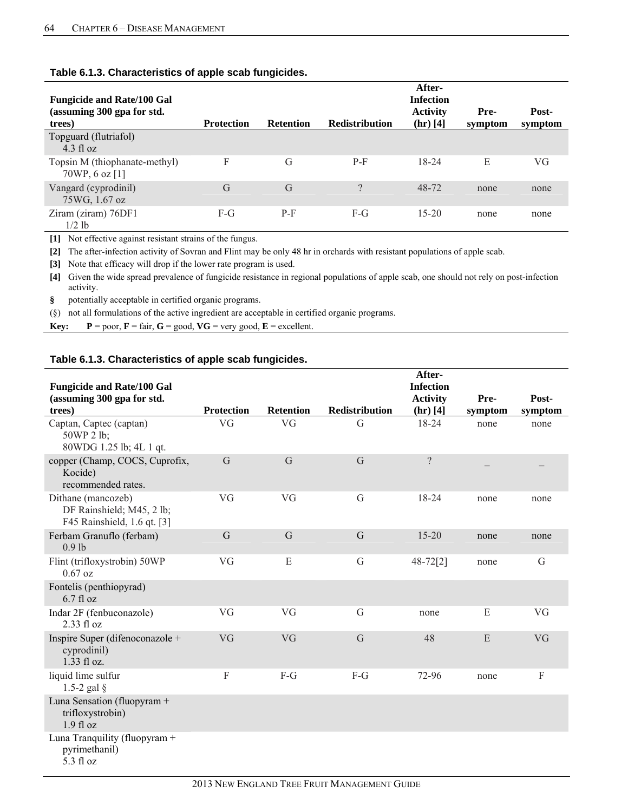| <b>Fungicide and Rate/100 Gal</b><br>(assuming 300 gpa for std.<br>trees) | <b>Protection</b> | <b>Retention</b> | <b>Redistribution</b> | After-<br><b>Infection</b><br><b>Activity</b><br>$(hr)$ [4] | Pre-<br>symptom | Post-<br>symptom |
|---------------------------------------------------------------------------|-------------------|------------------|-----------------------|-------------------------------------------------------------|-----------------|------------------|
| Topguard (flutriafol)<br>$4.3 \text{ fl oz}$                              |                   |                  |                       |                                                             |                 |                  |
| Topsin M (thiophanate-methyl)<br>70WP, 6 oz [1]                           | F                 | G                | $P-F$                 | 18-24                                                       | E               | VG               |
| Vangard (cyprodinil)<br>75WG, 1.67 oz                                     | G                 | G                | $\Omega$              | 48-72                                                       | none            | none             |
| Ziram (ziram) 76DF1<br>$1/2$ lb                                           | $F-G$             | $P-F$            | $F-G$                 | $15 - 20$                                                   | none            | none             |

### **Table 6.1.3. Characteristics of apple scab fungicides.**

**[1]** Not effective against resistant strains of the fungus.

**[2]** The after-infection activity of Sovran and Flint may be only 48 hr in orchards with resistant populations of apple scab.

**[3]** Note that efficacy will drop if the lower rate program is used.

**[4]** Given the wide spread prevalence of fungicide resistance in regional populations of apple scab, one should not rely on post-infection activity.

**§** potentially acceptable in certified organic programs.

(§) not all formulations of the active ingredient are acceptable in certified organic programs.

**Key:**  $P = \text{poor}, F = \text{fair}, G = \text{good}, VG = \text{very good}, E = \text{excellent}.$ 

## **Table 6.1.3. Characteristics of apple scab fungicides.**

|                                                                                |                   |                  |                | After-           |         |         |
|--------------------------------------------------------------------------------|-------------------|------------------|----------------|------------------|---------|---------|
| <b>Fungicide and Rate/100 Gal</b>                                              |                   |                  |                | <b>Infection</b> |         |         |
| (assuming 300 gpa for std.                                                     |                   |                  |                | <b>Activity</b>  | Pre-    | Post-   |
| trees)                                                                         | <b>Protection</b> | <b>Retention</b> | Redistribution | $(hr)$ [4]       | symptom | symptom |
| Captan, Captec (captan)<br>50WP 2 lb;<br>80WDG 1.25 lb; 4L 1 qt.               | VG                | VG               | G              | 18-24            | none    | none    |
| copper (Champ, COCS, Cuprofix,<br>Kocide)<br>recommended rates.                | G                 | G                | G              | $\gamma$         |         |         |
| Dithane (mancozeb)<br>DF Rainshield; M45, 2 lb;<br>F45 Rainshield, 1.6 qt. [3] | VG                | VG               | G              | 18-24            | none    | none    |
| Ferbam Granuflo (ferbam)<br>$0.9$ lb                                           | $\mathsf G$       | G                | G              | $15 - 20$        | none    | none    |
| Flint (trifloxystrobin) 50WP<br>$0.67$ oz                                      | VG                | E                | G              | $48 - 72[2]$     | none    | G       |
| Fontelis (penthiopyrad)<br>$6.7$ fl oz                                         |                   |                  |                |                  |         |         |
| Indar 2F (fenbuconazole)<br>2.33 fl oz                                         | VG                | VG               | $\mathbf G$    | none             | Е       | VG      |
| Inspire Super (difenoconazole +<br>cyprodinil)<br>$1.33$ fl oz.                | VG                | VG               | G              | 48               | E       | VG      |
| liquid lime sulfur<br>1.5-2 gal $\S$                                           | F                 | $F-G$            | $F-G$          | 72-96            | none    | F       |
| Luna Sensation (fluopyram +<br>trifloxystrobin)<br>$1.9$ fl oz                 |                   |                  |                |                  |         |         |
| Luna Tranquility (fluopyram +<br>pyrimethanil)<br>5.3 fl oz                    |                   |                  |                |                  |         |         |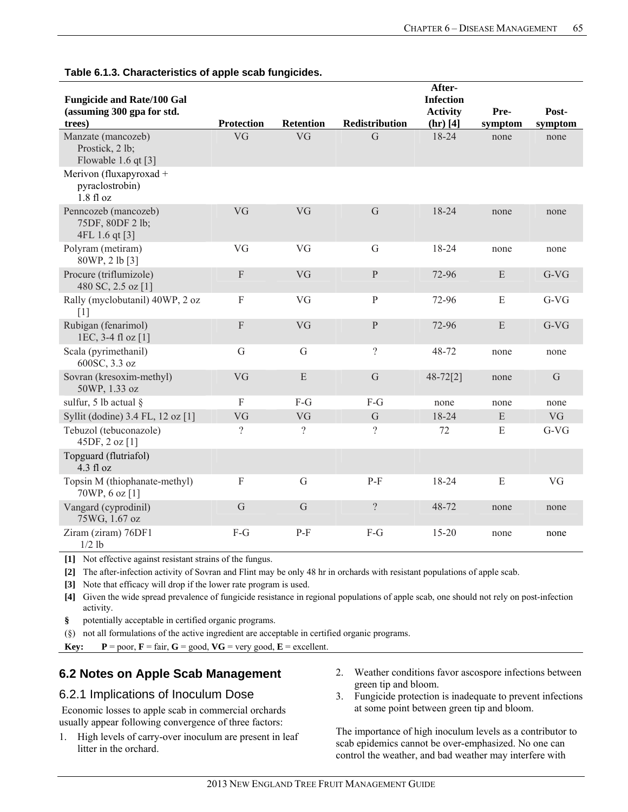| <b>Fungicide and Rate/100 Gal</b><br>(assuming 300 gpa for std.<br>trees) | <b>Protection</b> | <b>Retention</b> | Redistribution | After-<br><b>Infection</b><br><b>Activity</b><br>$(hr)$ [4] | Pre-<br>symptom | Post-<br>symptom |
|---------------------------------------------------------------------------|-------------------|------------------|----------------|-------------------------------------------------------------|-----------------|------------------|
| Manzate (mancozeb)<br>Prostick, 2 lb;<br>Flowable 1.6 qt $[3]$            | VG                | VG               | G              | 18-24                                                       | none            | none             |
| Merivon (fluxapyroxad +<br>pyraclostrobin)<br>1.8f1oz                     |                   |                  |                |                                                             |                 |                  |
| Penncozeb (mancozeb)<br>75DF, 80DF 2 lb;<br>4FL 1.6 qt [3]                | VG                | VG               | $\mathsf G$    | 18-24                                                       | none            | none             |
| Polyram (metiram)<br>80WP, 2 lb [3]                                       | VG                | VG               | G              | 18-24                                                       | none            | none             |
| Procure (triflumizole)<br>480 SC, 2.5 oz [1]                              | $\overline{F}$    | VG               | $\overline{P}$ | 72-96                                                       | E               | $G-VG$           |
| Rally (myclobutanil) 40WP, 2 oz<br>[1]                                    | $\mathbf{F}$      | VG               | $\mathbf{P}$   | 72-96                                                       | E               | $G-VG$           |
| Rubigan (fenarimol)<br>1EC, 3-4 fl oz [1]                                 | $\overline{F}$    | VG               | $\mathbf{P}$   | 72-96                                                       | E               | $G-VG$           |
| Scala (pyrimethanil)<br>600SC, 3.3 oz                                     | G                 | G                | $\gamma$       | 48-72                                                       | none            | none             |
| Sovran (kresoxim-methyl)<br>50WP, 1.33 oz                                 | VG                | E                | $\mathbf G$    | $48 - 72[2]$                                                | none            | G                |
| sulfur, 5 lb actual §                                                     | $\mathbf{F}$      | F-G              | F-G            | none                                                        | none            | none             |
| Syllit (dodine) 3.4 FL, 12 oz [1]                                         | VG                | VG               | $\mathsf G$    | 18-24                                                       | E               | VG               |
| Tebuzol (tebuconazole)<br>45DF, 2 oz [1]                                  | $\gamma$          | $\gamma$         | $\gamma$       | 72                                                          | E               | $G-VG$           |
| Topguard (flutriafol)<br>4.3 f1 oz                                        |                   |                  |                |                                                             |                 |                  |
| Topsin M (thiophanate-methyl)<br>70WP, 6 oz [1]                           | $\mathbf F$       | G                | $P-F$          | 18-24                                                       | E               | VG               |
| Vangard (cyprodinil)<br>75WG, 1.67 oz                                     | $\mathbf G$       | G                | $\gamma$       | 48-72                                                       | none            | none             |
| Ziram (ziram) 76DF1<br>$1/2$ lb                                           | F-G               | $P-F$            | $F-G$          | $15 - 20$                                                   | none            | none             |

**Table 6.1.3. Characteristics of apple scab fungicides.**

**[1]** Not effective against resistant strains of the fungus.

**[2]** The after-infection activity of Sovran and Flint may be only 48 hr in orchards with resistant populations of apple scab.

**[3]** Note that efficacy will drop if the lower rate program is used.

**[4]** Given the wide spread prevalence of fungicide resistance in regional populations of apple scab, one should not rely on post-infection activity.

**§** potentially acceptable in certified organic programs.

(§) not all formulations of the active ingredient are acceptable in certified organic programs.

**Key:**  $P = \text{poor}, F = \text{fair}, G = \text{good}, VG = \text{very good}, E = \text{excellent}.$ 

# **6.2 Notes on Apple Scab Management**

## 6.2.1 Implications of Inoculum Dose

 Economic losses to apple scab in commercial orchards usually appear following convergence of three factors:

- 1. High levels of carry-over inoculum are present in leaf litter in the orchard.
- 2. Weather conditions favor ascospore infections between green tip and bloom.
- 3. Fungicide protection is inadequate to prevent infections at some point between green tip and bloom.

The importance of high inoculum levels as a contributor to scab epidemics cannot be over-emphasized. No one can control the weather, and bad weather may interfere with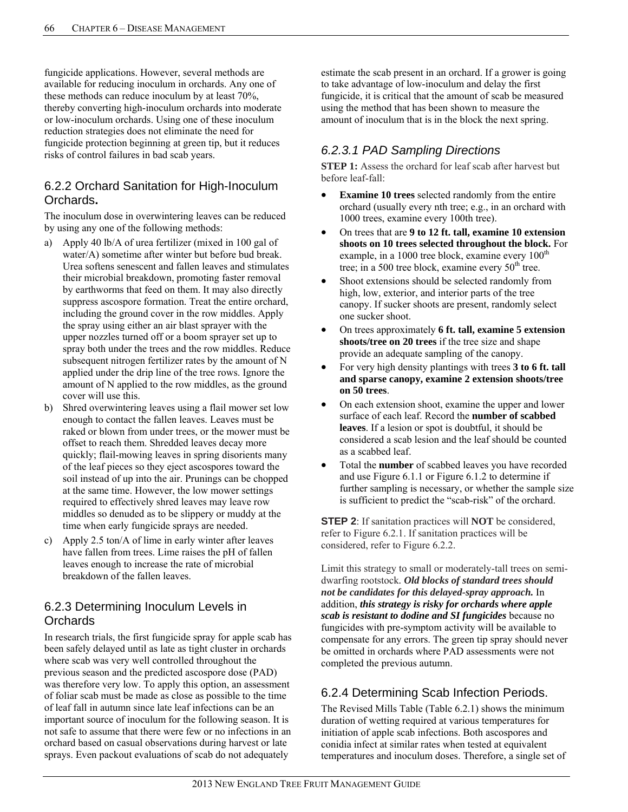fungicide applications. However, several methods are available for reducing inoculum in orchards. Any one of these methods can reduce inoculum by at least 70%, thereby converting high-inoculum orchards into moderate or low-inoculum orchards. Using one of these inoculum reduction strategies does not eliminate the need for fungicide protection beginning at green tip, but it reduces risks of control failures in bad scab years.

# 6.2.2 Orchard Sanitation for High-Inoculum Orchards**.**

The inoculum dose in overwintering leaves can be reduced by using any one of the following methods:

- a) Apply 40 lb/A of urea fertilizer (mixed in 100 gal of water/A) sometime after winter but before bud break. Urea softens senescent and fallen leaves and stimulates their microbial breakdown, promoting faster removal by earthworms that feed on them. It may also directly suppress ascospore formation. Treat the entire orchard, including the ground cover in the row middles. Apply the spray using either an air blast sprayer with the upper nozzles turned off or a boom sprayer set up to spray both under the trees and the row middles. Reduce subsequent nitrogen fertilizer rates by the amount of N applied under the drip line of the tree rows. Ignore the amount of N applied to the row middles, as the ground cover will use this.
- b) Shred overwintering leaves using a flail mower set low enough to contact the fallen leaves. Leaves must be raked or blown from under trees, or the mower must be offset to reach them. Shredded leaves decay more quickly; flail-mowing leaves in spring disorients many of the leaf pieces so they eject ascospores toward the soil instead of up into the air. Prunings can be chopped at the same time. However, the low mower settings required to effectively shred leaves may leave row middles so denuded as to be slippery or muddy at the time when early fungicide sprays are needed.
- c) Apply 2.5 ton/A of lime in early winter after leaves have fallen from trees. Lime raises the pH of fallen leaves enough to increase the rate of microbial breakdown of the fallen leaves.

# 6.2.3 Determining Inoculum Levels in **Orchards**

In research trials, the first fungicide spray for apple scab has been safely delayed until as late as tight cluster in orchards where scab was very well controlled throughout the previous season and the predicted ascospore dose (PAD) was therefore very low. To apply this option, an assessment of foliar scab must be made as close as possible to the time of leaf fall in autumn since late leaf infections can be an important source of inoculum for the following season. It is not safe to assume that there were few or no infections in an orchard based on casual observations during harvest or late sprays. Even packout evaluations of scab do not adequately

estimate the scab present in an orchard. If a grower is going to take advantage of low-inoculum and delay the first fungicide, it is critical that the amount of scab be measured using the method that has been shown to measure the amount of inoculum that is in the block the next spring.

# *6.2.3.1 PAD Sampling Directions*

**STEP 1:** Assess the orchard for leaf scab after harvest but before leaf-fall:

- **Examine 10 trees** selected randomly from the entire orchard (usually every nth tree; e.g., in an orchard with 1000 trees, examine every 100th tree).
- On trees that are **9 to 12 ft. tall, examine 10 extension shoots on 10 trees selected throughout the block.** For example, in a 1000 tree block, examine every  $100<sup>th</sup>$ tree; in a 500 tree block, examine every  $50<sup>th</sup>$  tree.
- Shoot extensions should be selected randomly from high, low, exterior, and interior parts of the tree canopy. If sucker shoots are present, randomly select one sucker shoot.
- On trees approximately **6 ft. tall, examine 5 extension shoots/tree on 20 trees** if the tree size and shape provide an adequate sampling of the canopy.
- For very high density plantings with trees **3 to 6 ft. tall and sparse canopy, examine 2 extension shoots/tree on 50 trees**.
- On each extension shoot, examine the upper and lower surface of each leaf. Record the **number of scabbed leaves**. If a lesion or spot is doubtful, it should be considered a scab lesion and the leaf should be counted as a scabbed leaf.
- Total the **number** of scabbed leaves you have recorded and use Figure 6.1.1 or Figure 6.1.2 to determine if further sampling is necessary, or whether the sample size is sufficient to predict the "scab-risk" of the orchard.

**STEP 2**: If sanitation practices will **NOT** be considered, refer to Figure 6.2.1. If sanitation practices will be considered, refer to Figure 6.2.2.

Limit this strategy to small or moderately-tall trees on semidwarfing rootstock*. Old blocks of standard trees should not be candidates for this delayed-spray approach.* In addition, *this strategy is risky for orchards where apple scab is resistant to dodine and SI fungicides* because no fungicides with pre-symptom activity will be available to compensate for any errors. The green tip spray should never be omitted in orchards where PAD assessments were not completed the previous autumn.

# 6.2.4 Determining Scab Infection Periods.

The Revised Mills Table (Table 6.2.1) shows the minimum duration of wetting required at various temperatures for initiation of apple scab infections. Both ascospores and conidia infect at similar rates when tested at equivalent temperatures and inoculum doses. Therefore, a single set of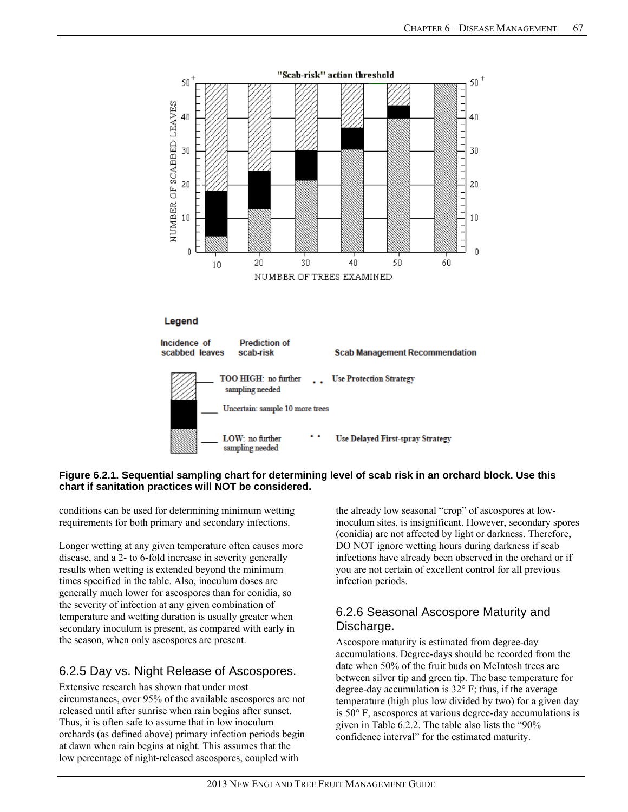

## **Figure 6.2.1. Sequential sampling chart for determining level of scab risk in an orchard block. Use this chart if sanitation practices will NOT be considered.**

conditions can be used for determining minimum wetting requirements for both primary and secondary infections.

Longer wetting at any given temperature often causes more disease, and a 2- to 6-fold increase in severity generally results when wetting is extended beyond the minimum times specified in the table. Also, inoculum doses are generally much lower for ascospores than for conidia, so the severity of infection at any given combination of temperature and wetting duration is usually greater when secondary inoculum is present, as compared with early in the season, when only ascospores are present.

# 6.2.5 Day vs. Night Release of Ascospores.

Extensive research has shown that under most circumstances, over 95% of the available ascospores are not released until after sunrise when rain begins after sunset. Thus, it is often safe to assume that in low inoculum orchards (as defined above) primary infection periods begin at dawn when rain begins at night. This assumes that the low percentage of night-released ascospores, coupled with

the already low seasonal "crop" of ascospores at lowinoculum sites, is insignificant. However, secondary spores (conidia) are not affected by light or darkness. Therefore, DO NOT ignore wetting hours during darkness if scab infections have already been observed in the orchard or if you are not certain of excellent control for all previous infection periods.

# 6.2.6 Seasonal Ascospore Maturity and Discharge.

Ascospore maturity is estimated from degree-day accumulations. Degree-days should be recorded from the date when 50% of the fruit buds on McIntosh trees are between silver tip and green tip. The base temperature for degree-day accumulation is 32° F; thus, if the average temperature (high plus low divided by two) for a given day is 50° F, ascospores at various degree-day accumulations is given in Table 6.2.2. The table also lists the "90% confidence interval" for the estimated maturity.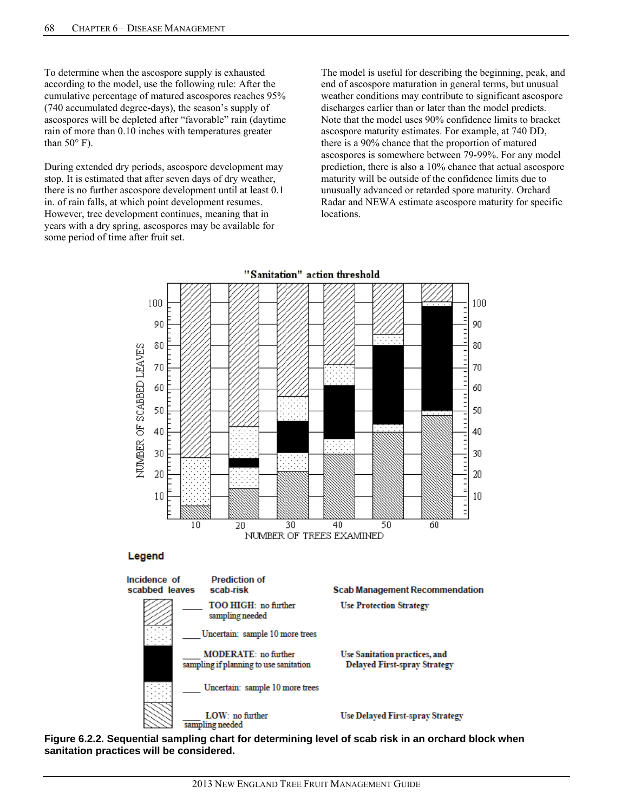To determine when the ascospore supply is exhausted according to the model, use the following rule: After the cumulative percentage of matured ascospores reaches 95% (740 accumulated degree-days), the season's supply of ascospores will be depleted after "favorable" rain (daytime rain of more than 0.10 inches with temperatures greater than  $50^{\circ}$  F).

During extended dry periods, ascospore development may stop. It is estimated that after seven days of dry weather, there is no further ascospore development until at least 0.1 in. of rain falls, at which point development resumes. However, tree development continues, meaning that in years with a dry spring, ascospores may be available for some period of time after fruit set.

The model is useful for describing the beginning, peak, and end of ascospore maturation in general terms, but unusual weather conditions may contribute to significant ascospore discharges earlier than or later than the model predicts. Note that the model uses 90% confidence limits to bracket ascospore maturity estimates. For example, at 740 DD, there is a 90% chance that the proportion of matured ascospores is somewhere between 79-99%. For any model prediction, there is also a 10% chance that actual ascospore maturity will be outside of the confidence limits due to unusually advanced or retarded spore maturity. Orchard Radar and NEWA estimate ascospore maturity for specific locations.



**Figure 6.2.2. Sequential sampling chart for determining level of scab risk in an orchard block when sanitation practices will be considered.**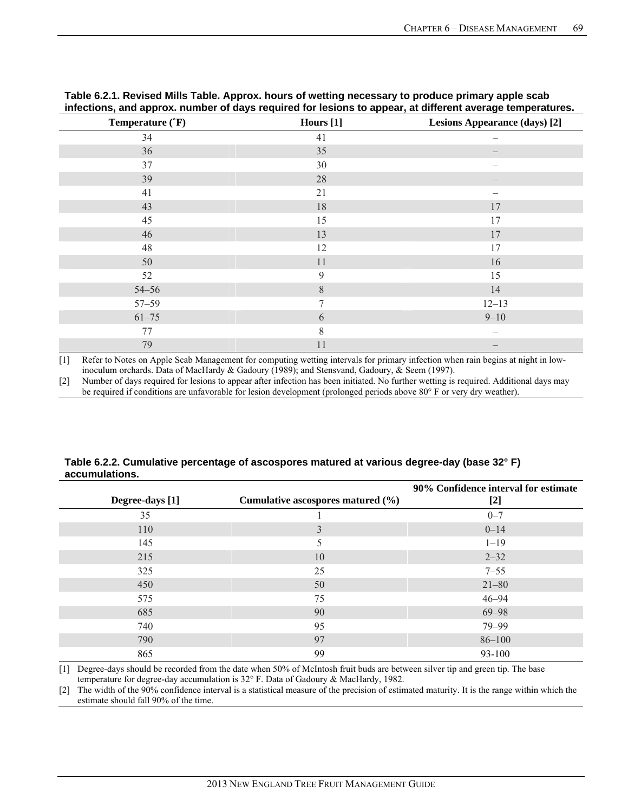| Temperature ('F) | Hours [1] | <b>Lesions Appearance (days)</b> [2] |
|------------------|-----------|--------------------------------------|
| 34               | 41        |                                      |
| 36               | 35        |                                      |
| 37               | 30        |                                      |
| 39               | 28        |                                      |
| 41               | 21        |                                      |
| 43               | 18        | 17                                   |
| 45               | 15        | 17                                   |
| 46               | 13        | $17\,$                               |
| 48               | 12        | 17                                   |
| 50               | 11        | 16                                   |
| 52               | 9         | 15                                   |
| $54 - 56$        | $\,8\,$   | 14                                   |
| $57 - 59$        | 7         | $12 - 13$                            |
| $61 - 75$        | 6         | $9 - 10$                             |
| 77               | 8         |                                      |
| 79               | 11        |                                      |

**Table 6.2.1. Revised Mills Table. Approx. hours of wetting necessary to produce primary apple scab infections, and approx. number of days required for lesions to appear, at different average temperatures.** 

[1] Refer to Notes on Apple Scab Management for computing wetting intervals for primary infection when rain begins at night in lowinoculum orchards. Data of MacHardy & Gadoury (1989); and Stensvand, Gadoury, & Seem (1997).

[2] Number of days required for lesions to appear after infection has been initiated. No further wetting is required. Additional days may be required if conditions are unfavorable for lesion development (prolonged periods above 80° F or very dry weather).

| Table 6.2.2. Cumulative percentage of ascospores matured at various degree-day (base 32°F) |
|--------------------------------------------------------------------------------------------|
| accumulations.                                                                             |

| Degree-days [1] | Cumulative ascospores matured $(\% )$ | 90% Confidence interval for estimate<br>$[2]$ |
|-----------------|---------------------------------------|-----------------------------------------------|
| 35              |                                       | $0 - 7$                                       |
| 110             | 3                                     | $0 - 14$                                      |
| 145             |                                       | $1 - 19$                                      |
| 215             | 10                                    | $2 - 32$                                      |
| 325             | 25                                    | $7 - 55$                                      |
| 450             | 50                                    | $21 - 80$                                     |
| 575             | 75                                    | $46 - 94$                                     |
| 685             | 90                                    | $69 - 98$                                     |
| 740             | 95                                    | 79-99                                         |
| 790             | 97                                    | $86 - 100$                                    |
| 865             | 99                                    | 93-100                                        |

[1] Degree-days should be recorded from the date when 50% of McIntosh fruit buds are between silver tip and green tip. The base temperature for degree-day accumulation is 32° F. Data of Gadoury & MacHardy, 1982.

[2] The width of the 90% confidence interval is a statistical measure of the precision of estimated maturity. It is the range within which the estimate should fall 90% of the time.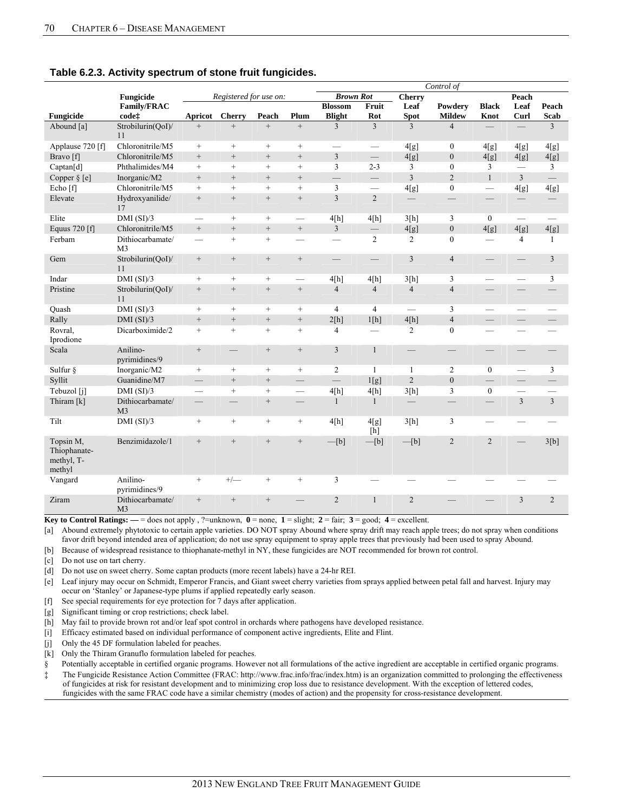|                                                   |                                    |                          |                          |                   | Control of               |                          |                          |                          |                          |                          |                          |                          |
|---------------------------------------------------|------------------------------------|--------------------------|--------------------------|-------------------|--------------------------|--------------------------|--------------------------|--------------------------|--------------------------|--------------------------|--------------------------|--------------------------|
|                                                   | Fungicide                          |                          | Registered for use on:   |                   | <b>Brown Rot</b>         |                          | <b>Cherry</b>            | Peach                    |                          |                          |                          |                          |
|                                                   | Family/FRAC                        |                          |                          |                   |                          | <b>Blossom</b>           | Fruit                    | Leaf                     | Powdery                  | <b>Black</b>             | Leaf                     | Peach                    |
| Fungicide                                         | codet                              | Apricot                  | <b>Cherry</b>            | Peach             | Plum                     | <b>Blight</b>            | Rot                      | <b>Spot</b>              | <b>Mildew</b>            | Knot                     | Curl                     | Scab                     |
| Abound [a]                                        | Strobilurin(QoI)/<br>11            | $^{+}$                   | $^{+}$                   | $\qquad \qquad +$ | $^{+}$                   | 3                        | $\overline{3}$           | $\overline{3}$           | $\overline{4}$           |                          |                          | $\overline{3}$           |
| Applause 720 [f]                                  | Chloronitrile/M5                   | $+$                      | $+$                      | $+$               | $\qquad \qquad +$        |                          | $\overline{\phantom{0}}$ | 4[g]                     | $\boldsymbol{0}$         | 4[g]                     | 4[g]                     | 4[g]                     |
| Bravo [f]                                         | Chloronitrile/M5                   | $^{+}$                   | $\qquad \qquad +$        | $^{+}$            | $\qquad \qquad +$        | 3                        |                          | 4[g]                     | $\boldsymbol{0}$         | 4[g]                     | 4[g]                     | 4[g]                     |
| Captan[d]                                         | Phthalimides/M4                    | $^{+}$                   | $^{+}$                   | $^{+}$            | $\! + \!\!\!\!$          | 3                        | $2 - 3$                  | 3                        | $\boldsymbol{0}$         | 3                        |                          | 3                        |
| Copper $\S [e]$                                   | Inorganic/M2                       | $^{+}$                   | $^{+}$                   | $^{+}$            | $+$                      | $\frac{1}{1}$            | $\overline{\phantom{0}}$ | $\overline{3}$           | $\overline{2}$           | $\mathbf{1}$             | $\overline{3}$           | $\overline{\phantom{0}}$ |
| Echo [f]                                          | Chloronitrile/M5                   | $^{+}$                   | $^{+}$                   | $^{+}$            | $^{+}$                   | 3                        |                          | 4[g]                     | $\boldsymbol{0}$         | $\overline{\phantom{0}}$ | 4[g]                     | 4[g]                     |
| Elevate                                           | Hydroxyanilide/<br>17              | $+$                      | $^{+}$                   | $^{+}$            | $^+$                     | 3                        | $\overline{2}$           | $\overline{\phantom{0}}$ | $\overline{\phantom{0}}$ | $\overline{\phantom{0}}$ | $\overline{\phantom{m}}$ |                          |
| Elite                                             | $DMI$ (SI)/3                       | $\overline{\phantom{0}}$ | $\qquad \qquad +$        | $\qquad \qquad +$ | $\overline{\phantom{0}}$ | 4[h]                     | 4[h]                     | 3[h]                     | 3                        | $\overline{0}$           |                          | $\overline{\phantom{0}}$ |
| Equus 720 [f]                                     | Chloronitrile/M5                   | $+$                      | $\qquad \qquad +$        | $^{+}$            | $^+$                     | $\overline{3}$           | $\overline{\phantom{0}}$ | 4[g]                     | $\boldsymbol{0}$         | 4[g]                     | 4[g]                     | 4[g]                     |
| Ferbam                                            | Dithiocarbamate/<br>M <sub>3</sub> |                          | $^{+}$                   | $^{+}$            | $\overline{\phantom{0}}$ | $\overline{\phantom{0}}$ | $\overline{2}$           | $\overline{c}$           | $\boldsymbol{0}$         |                          | $\overline{4}$           | 1                        |
| Gem                                               | Strobilurin(OoI)/<br>11            | $\qquad \qquad +$        | $\qquad \qquad +$        | $^+$              | $^+$                     | $\qquad \qquad$          | $\equiv$                 | $\overline{\mathbf{3}}$  | $\overline{4}$           |                          | $\overline{\phantom{0}}$ | 3                        |
| Indar                                             | DMI(SI)/3                          | $+$                      | $\qquad \qquad +$        | $\qquad \qquad +$ |                          | 4[h]                     | 4[h]                     | 3[h]                     | 3                        |                          | $\overline{\phantom{0}}$ | 3                        |
| Pristine                                          | Strobilurin(OoI)/<br>11            | $\qquad \qquad +$        | $^{+}$                   | $\qquad \qquad +$ | $^+$                     | $\overline{4}$           | $\overline{4}$           | $\overline{4}$           | $\overline{4}$           | $\overline{\phantom{0}}$ |                          |                          |
| Ouash                                             | DMI(SI)/3                          | $+$                      | $+$                      | $^{+}$            | $^{+}$                   | $\overline{4}$           | $\overline{4}$           | $\equiv$                 | $\overline{3}$           | $\overline{\phantom{0}}$ | $\overline{\phantom{0}}$ |                          |
| Rally                                             | DMI(SI)/3                          | $^{+}$                   | $\qquad \qquad +$        | $^{+}$            | $\qquad \qquad +$        | 2[h]                     | 1[h]                     | 4[h]                     | $\overline{4}$           | $\qquad \qquad -$        | $\Rightarrow$            |                          |
| Rovral,<br>Iprodione                              | Dicarboximide/2                    | $+$                      | $+$                      | $+$               | $^{+}$                   | $\overline{4}$           | $\overline{\phantom{0}}$ | $\overline{2}$           | $\overline{0}$           | $\overline{\phantom{0}}$ | $\overline{\phantom{0}}$ |                          |
| Scala                                             | Anilino-<br>pyrimidines/9          | $\qquad \qquad +$        | $\overline{\phantom{0}}$ | $^+$              | $^+$                     | 3                        | $\mathbf{1}$             |                          | $\overline{\phantom{0}}$ |                          |                          |                          |
| Sulfur §                                          | Inorganic/M2                       | $^{+}$                   | $\qquad \qquad +$        | $^{+}$            | $+$                      | $\overline{c}$           | $\mathbf{1}$             | 1                        | $\overline{2}$           | $\mathbf{0}$             |                          | 3                        |
| Syllit                                            | Guanidine/M7                       | $\qquad \qquad$          | $^+$                     | $^+$              | $\equiv$                 | $\overline{\phantom{0}}$ | 1[g]                     | $\overline{2}$           | $\boldsymbol{0}$         | $\overline{\phantom{0}}$ |                          | $\overline{\phantom{0}}$ |
| Tebuzol [j]                                       | DMI(SI)/3                          | $\qquad \qquad$          | $^{+}$                   | $^{+}$            | $\qquad \qquad$          | 4[h]                     | 4[h]                     | 3[h]                     | $\mathfrak{Z}$           | $\overline{0}$           | $\qquad \qquad$          | $\overline{\phantom{0}}$ |
| Thiram [k]                                        | Dithiocarbamate/<br>M <sub>3</sub> |                          |                          | $^+$              |                          | $\mathbf{1}$             | $\mathbf{1}$             | $\qquad \qquad -$        | $\overline{\phantom{0}}$ |                          | 3                        | $\overline{3}$           |
| Tilt                                              | DMI(SI)/3                          | $\qquad \qquad +$        | $^{+}$                   | $\qquad \qquad +$ | $\! + \!\!\!\!$          | 4[h]                     | 4[g]<br>[h]              | 3[h]                     | 3                        |                          |                          |                          |
| Topsin M,<br>Thiophanate-<br>methyl, T-<br>methyl | Benzimidazole/1                    | $^{+}$                   | $^{+}$                   | $^{+}$            | $^+$                     | $-[b]$                   | $-[b]$                   | $-[b]$                   | $\overline{2}$           | $\overline{2}$           | $\qquad \qquad$          | 3[b]                     |
| Vangard                                           | Anilino-<br>pyrimidines/9          | $^{+}$                   | $+/-$                    | $+$               | $^{+}$                   | 3                        |                          |                          |                          |                          |                          |                          |
| Ziram                                             | Dithiocarbamate/<br>M <sub>3</sub> | $^{+}$                   | $^{+}$                   | $^{+}$            |                          | $\overline{2}$           | 1                        | $\overline{2}$           |                          |                          | 3                        | $\overline{2}$           |

#### **Table 6.2.3. Activity spectrum of stone fruit fungicides.**

**Key to Control Ratings:**  $\_\_$  = does not apply, ?=unknown,  $\mathbf{0} = \text{none}$ ,  $\mathbf{1} = \text{slight}$ ;  $\mathbf{2} = \text{fair}$ ;  $\mathbf{3} = \text{good}$ ;  $\mathbf{4} = \text{excellent}$ .

[a] Abound extremely phytotoxic to certain apple varieties. DO NOT spray Abound where spray drift may reach apple trees; do not spray when conditions favor drift beyond intended area of application; do not use spray equipment to spray apple trees that previously had been used to spray Abound.

[b] Because of widespread resistance to thiophanate-methyl in NY, these fungicides are NOT recommended for brown rot control.

[c] Do not use on tart cherry.

[d] Do not use on sweet cherry. Some captan products (more recent labels) have a 24-hr REI.

[e] Leaf injury may occur on Schmidt, Emperor Francis, and Giant sweet cherry varieties from sprays applied between petal fall and harvest. Injury may occur on 'Stanley' or Japanese-type plums if applied repeatedly early season.

[f] See special requirements for eye protection for 7 days after application.

[g] Significant timing or crop restrictions; check label.

- [h] May fail to provide brown rot and/or leaf spot control in orchards where pathogens have developed resistance.
- [i] Efficacy estimated based on individual performance of component active ingredients, Elite and Flint.
- [j] Only the 45 DF formulation labeled for peaches.

[k] Only the Thiram Granuflo formulation labeled for peaches.

§ Potentially acceptable in certified organic programs. However not all formulations of the active ingredient are acceptable in certified organic programs.

‡ The Fungicide Resistance Action Committee (FRAC: http://www.frac.info/frac/index.htm) is an organization committed to prolonging the effectiveness of fungicides at risk for resistant development and to minimizing crop loss due to resistance development. With the exception of lettered codes, fungicides with the same FRAC code have a similar chemistry (modes of action) and the propensity for cross-resistance development.